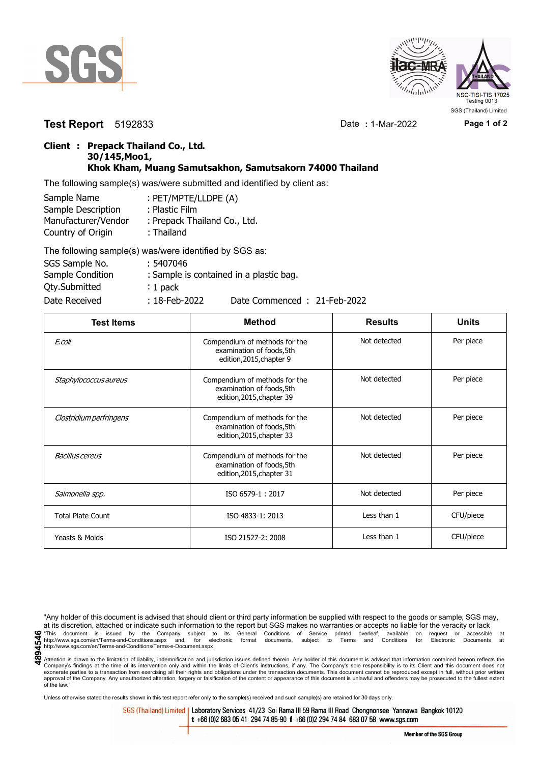



**Test Report** 5192833 Date **:** 1-Mar-2022 **Page 1 of 2**

## **Client : Prepack Thailand Co., Ltd. 30/145,Moo1, Khok Kham, Muang Samutsakhon, Samutsakorn 74000 Thailand**

The following sample(s) was/were submitted and identified by client as:

| Sample Name         | : PET/MPTE/LLDPE (A)         |
|---------------------|------------------------------|
| Sample Description  | : Plastic Film               |
| Manufacturer/Vendor | : Prepack Thailand Co., Ltd. |
| Country of Origin   | : Thailand                   |
|                     |                              |

| The following sample(s) was/were identified by SGS as: |                  |                                         |
|--------------------------------------------------------|------------------|-----------------------------------------|
| SGS Sample No.                                         | : 5407046        |                                         |
| Sample Condition                                       |                  | : Sample is contained in a plastic bag. |
| <b>Qty.Submitted</b>                                   | $: 1$ pack       |                                         |
| Date Received                                          | $: 18$ -Feb-2022 | Date Commenced: 21-Feb-2022             |

| <b>Test Items</b>        | <b>Method</b>                                                                           | <b>Results</b> | <b>Units</b> |
|--------------------------|-----------------------------------------------------------------------------------------|----------------|--------------|
| E.coli                   | Compendium of methods for the<br>examination of foods, 5th<br>edition, 2015, chapter 9  | Not detected   | Per piece    |
| Staphylococcus aureus    | Compendium of methods for the<br>examination of foods, 5th<br>edition, 2015, chapter 39 | Not detected   | Per piece    |
| Clostridium perfringens  | Compendium of methods for the<br>examination of foods, 5th<br>edition, 2015, chapter 33 | Not detected   | Per piece    |
| Bacillus cereus          | Compendium of methods for the<br>examination of foods, 5th<br>edition, 2015, chapter 31 | Not detected   | Per piece    |
| Salmonella spp.          | ISO 6579-1: 2017                                                                        | Not detected   | Per piece    |
| <b>Total Plate Count</b> | ISO 4833-1: 2013                                                                        | Less than 1    | CFU/piece    |
| Yeasts & Molds           | ISO 21527-2: 2008                                                                       | Less than 1    | CFU/piece    |

"Any holder of this document is advised that should client or third party information be supplied with respect to the goods or sample, SGS may, at its discretion, attached or indicate such information to the report but SGS makes no warranties or accepts no liable for the veracity or lack This document is issued by the Company subject to its General Conditions of Service printed overleaf, available on request or accessible at the entropy.//www.sgs.com/en/Terms-and-Conditions.aspx and, for electronic format http://www.sgs.com/en/Terms-and-Conditions/Terms-e-Document.aspx

Attention is drawn to the limitation of liability, indemnification and jurisdiction issues defined therein. Any holder of this document is advised that information contained hereon reflects the Company's findings at the time of its intervention only and within the limits of Client's instructions, if any. The Company's sole responsibility is to its Client and this document does not<br>exonerate parties to a transacti approval of the Company. Any unauthorized alteration, forgery or falsification of the content or appearance of this document is unlawful and offenders may be prosecuted to the fullest extent approval of the Company. Any un of the law."

Unless otherwise stated the results shown in this test report refer only to the sample(s) received and such sample(s) are retained for 30 days only.

SGS (Thailand) Limited | Laboratory Services 41/23 Soi Rama III 59 Rama III Road Chongnonsee Yannawa Bangkok 10120 t +66 (0)2 683 05 41 294 74 85-90 f +66 (0)2 294 74 84 683 07 58 www.sgs.com